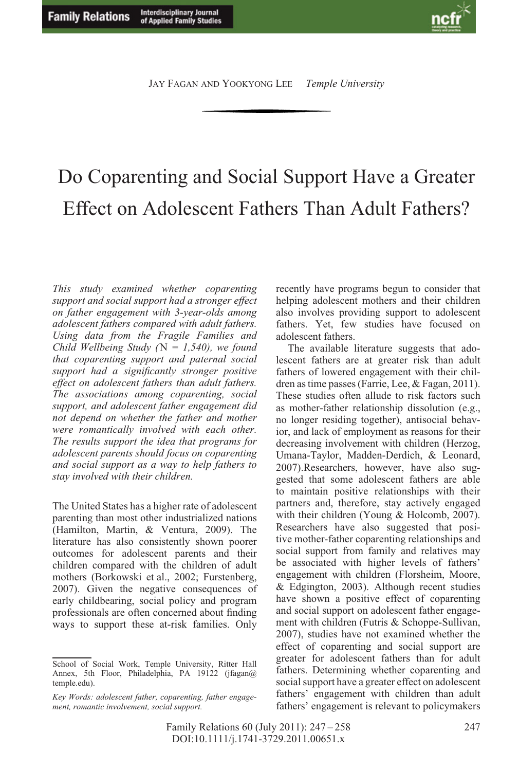

JAY FAGAN AND YOOKYONG LEE *Temple University*

# Do Coparenting and Social Support Have a Greater Effect on Adolescent Fathers Than Adult Fathers?

*This study examined whether coparenting support and social support had a stronger effect on father engagement with 3-year-olds among adolescent fathers compared with adult fathers. Using data from the Fragile Families and Child Wellbeing Study (*N *= 1,540), we found that coparenting support and paternal social support had a significantly stronger positive effect on adolescent fathers than adult fathers. The associations among coparenting, social support, and adolescent father engagement did not depend on whether the father and mother were romantically involved with each other. The results support the idea that programs for adolescent parents should focus on coparenting and social support as a way to help fathers to stay involved with their children.*

The United States has a higher rate of adolescent parenting than most other industrialized nations (Hamilton, Martin, & Ventura, 2009). The literature has also consistently shown poorer outcomes for adolescent parents and their children compared with the children of adult mothers (Borkowski et al., 2002; Furstenberg, 2007). Given the negative consequences of early childbearing, social policy and program professionals are often concerned about finding ways to support these at-risk families. Only

recently have programs begun to consider that helping adolescent mothers and their children also involves providing support to adolescent fathers. Yet, few studies have focused on adolescent fathers.

The available literature suggests that adolescent fathers are at greater risk than adult fathers of lowered engagement with their children as time passes (Farrie, Lee, & Fagan, 2011). These studies often allude to risk factors such as mother-father relationship dissolution (e.g., no longer residing together), antisocial behavior, and lack of employment as reasons for their decreasing involvement with children (Herzog, Umana-Taylor, Madden-Derdich, & Leonard, 2007).Researchers, however, have also suggested that some adolescent fathers are able to maintain positive relationships with their partners and, therefore, stay actively engaged with their children (Young & Holcomb, 2007). Researchers have also suggested that positive mother-father coparenting relationships and social support from family and relatives may be associated with higher levels of fathers' engagement with children (Florsheim, Moore, & Edgington, 2003). Although recent studies have shown a positive effect of coparenting and social support on adolescent father engagement with children (Futris & Schoppe-Sullivan, 2007), studies have not examined whether the effect of coparenting and social support are greater for adolescent fathers than for adult fathers. Determining whether coparenting and social support have a greater effect on adolescent fathers' engagement with children than adult fathers' engagement is relevant to policymakers

School of Social Work, Temple University, Ritter Hall Annex, 5th Floor, Philadelphia, PA 19122 (jfagan@ temple.edu).

*Key Words: adolescent father, coparenting, father engagement, romantic involvement, social support.*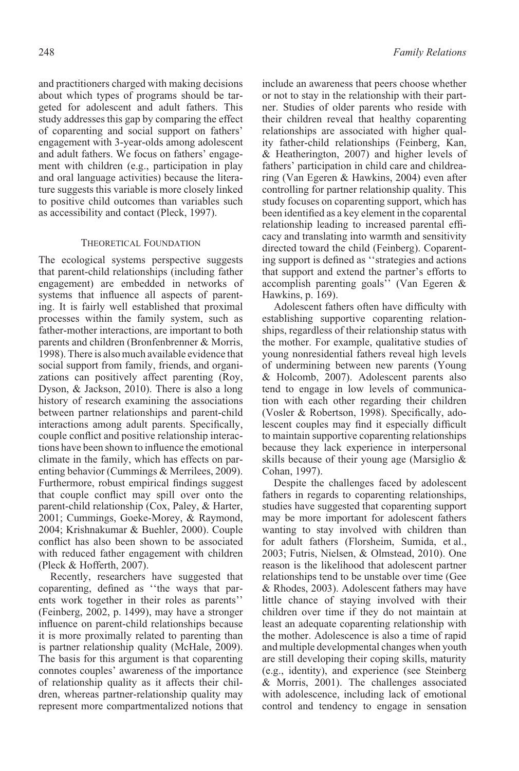and practitioners charged with making decisions about which types of programs should be targeted for adolescent and adult fathers. This study addresses this gap by comparing the effect of coparenting and social support on fathers' engagement with 3-year-olds among adolescent and adult fathers. We focus on fathers' engagement with children (e.g., participation in play and oral language activities) because the literature suggests this variable is more closely linked to positive child outcomes than variables such as accessibility and contact (Pleck, 1997).

## THEORETICAL FOUNDATION

The ecological systems perspective suggests that parent-child relationships (including father engagement) are embedded in networks of systems that influence all aspects of parenting. It is fairly well established that proximal processes within the family system, such as father-mother interactions, are important to both parents and children (Bronfenbrenner & Morris, 1998). There is also much available evidence that social support from family, friends, and organizations can positively affect parenting (Roy, Dyson, & Jackson, 2010). There is also a long history of research examining the associations between partner relationships and parent-child interactions among adult parents. Specifically, couple conflict and positive relationship interactions have been shown to influence the emotional climate in the family, which has effects on parenting behavior (Cummings & Merrilees, 2009). Furthermore, robust empirical findings suggest that couple conflict may spill over onto the parent-child relationship (Cox, Paley, & Harter, 2001; Cummings, Goeke-Morey, & Raymond, 2004; Krishnakumar & Buehler, 2000). Couple conflict has also been shown to be associated with reduced father engagement with children (Pleck & Hofferth, 2007).

Recently, researchers have suggested that coparenting, defined as ''the ways that parents work together in their roles as parents'' (Feinberg, 2002, p. 1499), may have a stronger influence on parent-child relationships because it is more proximally related to parenting than is partner relationship quality (McHale, 2009). The basis for this argument is that coparenting connotes couples' awareness of the importance of relationship quality as it affects their children, whereas partner-relationship quality may represent more compartmentalized notions that

include an awareness that peers choose whether or not to stay in the relationship with their partner. Studies of older parents who reside with their children reveal that healthy coparenting relationships are associated with higher quality father-child relationships (Feinberg, Kan, & Heatherington, 2007) and higher levels of fathers' participation in child care and childrearing (Van Egeren & Hawkins, 2004) even after controlling for partner relationship quality. This study focuses on coparenting support, which has been identified as a key element in the coparental relationship leading to increased parental efficacy and translating into warmth and sensitivity directed toward the child (Feinberg). Coparenting support is defined as ''strategies and actions that support and extend the partner's efforts to accomplish parenting goals'' (Van Egeren & Hawkins, p. 169).

Adolescent fathers often have difficulty with establishing supportive coparenting relationships, regardless of their relationship status with the mother. For example, qualitative studies of young nonresidential fathers reveal high levels of undermining between new parents (Young & Holcomb, 2007). Adolescent parents also tend to engage in low levels of communication with each other regarding their children (Vosler & Robertson, 1998). Specifically, adolescent couples may find it especially difficult to maintain supportive coparenting relationships because they lack experience in interpersonal skills because of their young age (Marsiglio & Cohan, 1997).

Despite the challenges faced by adolescent fathers in regards to coparenting relationships, studies have suggested that coparenting support may be more important for adolescent fathers wanting to stay involved with children than for adult fathers (Florsheim, Sumida, et al., 2003; Futris, Nielsen, & Olmstead, 2010). One reason is the likelihood that adolescent partner relationships tend to be unstable over time (Gee & Rhodes, 2003). Adolescent fathers may have little chance of staying involved with their children over time if they do not maintain at least an adequate coparenting relationship with the mother. Adolescence is also a time of rapid and multiple developmental changes when youth are still developing their coping skills, maturity (e.g., identity), and experience (see Steinberg & Morris, 2001). The challenges associated with adolescence, including lack of emotional control and tendency to engage in sensation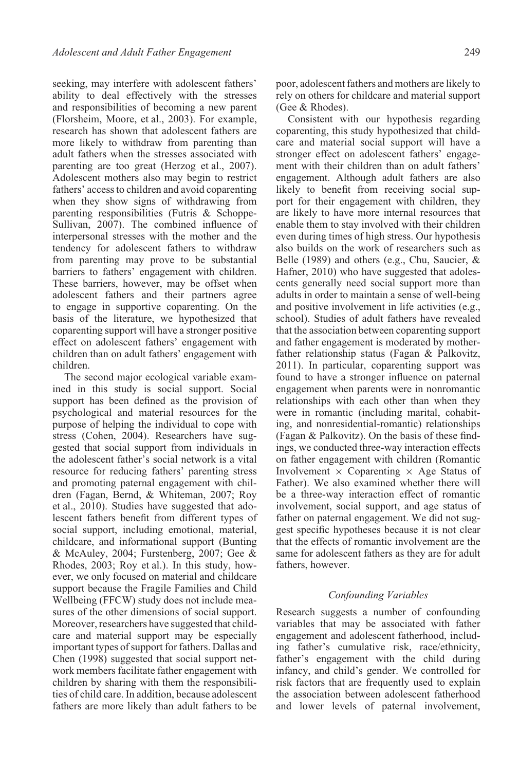seeking, may interfere with adolescent fathers' ability to deal effectively with the stresses and responsibilities of becoming a new parent (Florsheim, Moore, et al., 2003). For example, research has shown that adolescent fathers are more likely to withdraw from parenting than adult fathers when the stresses associated with parenting are too great (Herzog et al., 2007). Adolescent mothers also may begin to restrict fathers' access to children and avoid coparenting when they show signs of withdrawing from parenting responsibilities (Futris & Schoppe-Sullivan, 2007). The combined influence of interpersonal stresses with the mother and the tendency for adolescent fathers to withdraw from parenting may prove to be substantial barriers to fathers' engagement with children. These barriers, however, may be offset when adolescent fathers and their partners agree to engage in supportive coparenting. On the basis of the literature, we hypothesized that coparenting support will have a stronger positive effect on adolescent fathers' engagement with children than on adult fathers' engagement with children.

The second major ecological variable examined in this study is social support. Social support has been defined as the provision of psychological and material resources for the purpose of helping the individual to cope with stress (Cohen, 2004). Researchers have suggested that social support from individuals in the adolescent father's social network is a vital resource for reducing fathers' parenting stress and promoting paternal engagement with children (Fagan, Bernd, & Whiteman, 2007; Roy et al., 2010). Studies have suggested that adolescent fathers benefit from different types of social support, including emotional, material, childcare, and informational support (Bunting & McAuley, 2004; Furstenberg, 2007; Gee & Rhodes, 2003; Roy et al.). In this study, however, we only focused on material and childcare support because the Fragile Families and Child Wellbeing (FFCW) study does not include measures of the other dimensions of social support. Moreover, researchers have suggested that childcare and material support may be especially important types of support for fathers. Dallas and Chen (1998) suggested that social support network members facilitate father engagement with children by sharing with them the responsibilities of child care. In addition, because adolescent fathers are more likely than adult fathers to be

poor, adolescent fathers and mothers are likely to rely on others for childcare and material support (Gee & Rhodes).

Consistent with our hypothesis regarding coparenting, this study hypothesized that childcare and material social support will have a stronger effect on adolescent fathers' engagement with their children than on adult fathers' engagement. Although adult fathers are also likely to benefit from receiving social support for their engagement with children, they are likely to have more internal resources that enable them to stay involved with their children even during times of high stress. Our hypothesis also builds on the work of researchers such as Belle (1989) and others (e.g., Chu, Saucier, & Hafner, 2010) who have suggested that adolescents generally need social support more than adults in order to maintain a sense of well-being and positive involvement in life activities (e.g., school). Studies of adult fathers have revealed that the association between coparenting support and father engagement is moderated by motherfather relationship status (Fagan & Palkovitz, 2011). In particular, coparenting support was found to have a stronger influence on paternal engagement when parents were in nonromantic relationships with each other than when they were in romantic (including marital, cohabiting, and nonresidential-romantic) relationships (Fagan & Palkovitz). On the basis of these findings, we conducted three-way interaction effects on father engagement with children (Romantic Involvement  $\times$  Coparenting  $\times$  Age Status of Father). We also examined whether there will be a three-way interaction effect of romantic involvement, social support, and age status of father on paternal engagement. We did not suggest specific hypotheses because it is not clear that the effects of romantic involvement are the same for adolescent fathers as they are for adult fathers, however.

## *Confounding Variables*

Research suggests a number of confounding variables that may be associated with father engagement and adolescent fatherhood, including father's cumulative risk, race/ethnicity, father's engagement with the child during infancy, and child's gender. We controlled for risk factors that are frequently used to explain the association between adolescent fatherhood and lower levels of paternal involvement,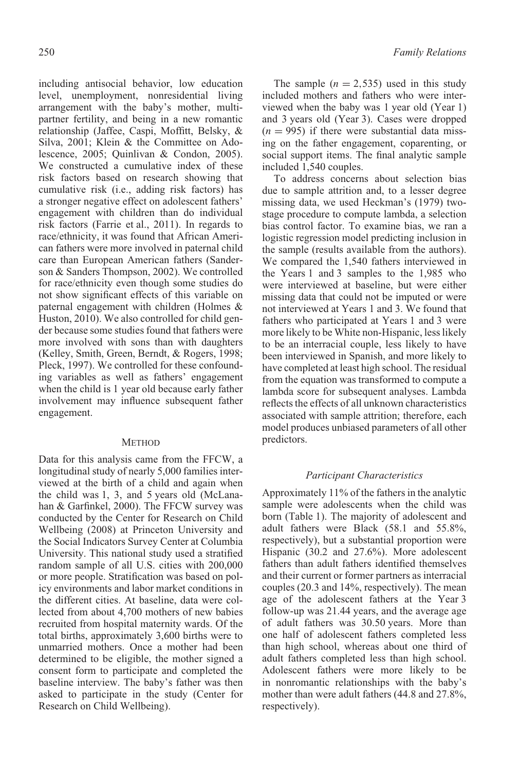including antisocial behavior, low education level, unemployment, nonresidential living arrangement with the baby's mother, multipartner fertility, and being in a new romantic relationship (Jaffee, Caspi, Moffitt, Belsky, & Silva, 2001; Klein & the Committee on Adolescence, 2005; Quinlivan & Condon, 2005). We constructed a cumulative index of these risk factors based on research showing that cumulative risk (i.e., adding risk factors) has a stronger negative effect on adolescent fathers' engagement with children than do individual risk factors (Farrie et al., 2011). In regards to race/ethnicity, it was found that African American fathers were more involved in paternal child care than European American fathers (Sanderson & Sanders Thompson, 2002). We controlled for race/ethnicity even though some studies do not show significant effects of this variable on paternal engagement with children (Holmes & Huston, 2010). We also controlled for child gender because some studies found that fathers were more involved with sons than with daughters (Kelley, Smith, Green, Berndt, & Rogers, 1998; Pleck, 1997). We controlled for these confounding variables as well as fathers' engagement when the child is 1 year old because early father involvement may influence subsequent father engagement.

# METHOD

Data for this analysis came from the FFCW, a longitudinal study of nearly 5,000 families interviewed at the birth of a child and again when the child was 1, 3, and 5 years old (McLanahan & Garfinkel, 2000). The FFCW survey was conducted by the Center for Research on Child Wellbeing (2008) at Princeton University and the Social Indicators Survey Center at Columbia University. This national study used a stratified random sample of all U.S. cities with 200,000 or more people. Stratification was based on policy environments and labor market conditions in the different cities. At baseline, data were collected from about 4,700 mothers of new babies recruited from hospital maternity wards. Of the total births, approximately 3,600 births were to unmarried mothers. Once a mother had been determined to be eligible, the mother signed a consent form to participate and completed the baseline interview. The baby's father was then asked to participate in the study (Center for Research on Child Wellbeing).

The sample  $(n = 2, 535)$  used in this study included mothers and fathers who were interviewed when the baby was 1 year old (Year 1) and 3 years old (Year 3). Cases were dropped  $(n = 995)$  if there were substantial data missing on the father engagement, coparenting, or social support items. The final analytic sample included 1,540 couples.

To address concerns about selection bias due to sample attrition and, to a lesser degree missing data, we used Heckman's (1979) twostage procedure to compute lambda, a selection bias control factor. To examine bias, we ran a logistic regression model predicting inclusion in the sample (results available from the authors). We compared the 1,540 fathers interviewed in the Years 1 and 3 samples to the 1,985 who were interviewed at baseline, but were either missing data that could not be imputed or were not interviewed at Years 1 and 3. We found that fathers who participated at Years 1 and 3 were more likely to be White non-Hispanic, less likely to be an interracial couple, less likely to have been interviewed in Spanish, and more likely to have completed at least high school. The residual from the equation was transformed to compute a lambda score for subsequent analyses. Lambda reflects the effects of all unknown characteristics associated with sample attrition; therefore, each model produces unbiased parameters of all other predictors.

## *Participant Characteristics*

Approximately 11% of the fathers in the analytic sample were adolescents when the child was born (Table 1). The majority of adolescent and adult fathers were Black (58.1 and 55.8%, respectively), but a substantial proportion were Hispanic (30.2 and 27.6%). More adolescent fathers than adult fathers identified themselves and their current or former partners as interracial couples (20.3 and 14%, respectively). The mean age of the adolescent fathers at the Year 3 follow-up was 21.44 years, and the average age of adult fathers was 30.50 years. More than one half of adolescent fathers completed less than high school, whereas about one third of adult fathers completed less than high school. Adolescent fathers were more likely to be in nonromantic relationships with the baby's mother than were adult fathers (44.8 and 27.8%, respectively).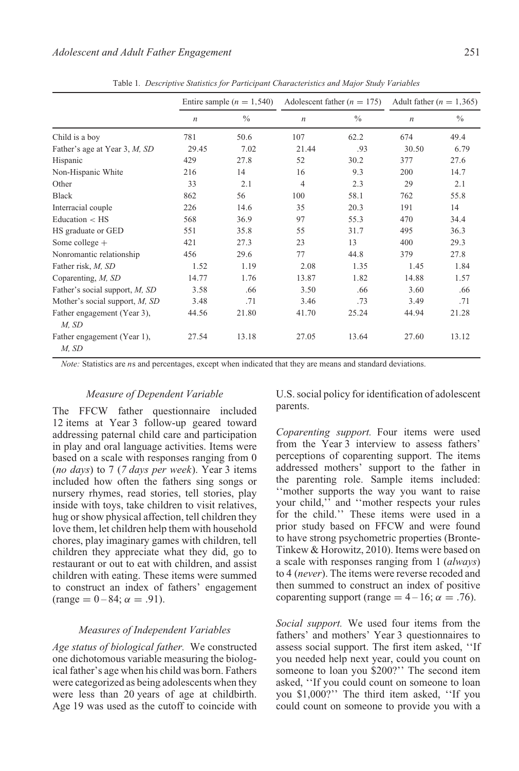|                                      |                  | Entire sample $(n = 1, 540)$ |         | Adolescent father ( $n = 175$ ) | Adult father ( $n = 1,365$ ) |               |  |
|--------------------------------------|------------------|------------------------------|---------|---------------------------------|------------------------------|---------------|--|
|                                      | $\boldsymbol{n}$ | $\frac{0}{0}$                | $\it n$ | $\frac{0}{0}$                   | $\boldsymbol{n}$             | $\frac{0}{0}$ |  |
| Child is a boy                       | 781              | 50.6                         | 107     | 62.2                            | 674                          | 49.4          |  |
| Father's age at Year 3, M, SD        | 29.45            | 7.02                         | 21.44   | .93                             | 30.50                        | 6.79          |  |
| Hispanic                             | 429              | 27.8                         | 52      | 30.2                            | 377                          | 27.6          |  |
| Non-Hispanic White                   | 216              | 14                           | 16      | 9.3                             | 200                          | 14.7          |  |
| Other                                | 33               | 2.1                          | 4       | 2.3                             | 29                           | 2.1           |  |
| <b>Black</b>                         | 862              | 56                           | 100     | 58.1                            | 762                          | 55.8          |  |
| Interracial couple                   | 226              | 14.6                         | 35      | 20.3                            | 191                          | 14            |  |
| Education $\langle$ HS               | 568              | 36.9                         | 97      | 55.3                            | 470                          | 34.4          |  |
| HS graduate or GED                   | 551              | 35.8                         | 55      | 31.7                            | 495                          | 36.3          |  |
| Some college $+$                     | 421              | 27.3                         | 23      | 13                              | 400                          | 29.3          |  |
| Nonromantic relationship             | 456              | 29.6                         | 77      | 44.8                            | 379                          | 27.8          |  |
| Father risk, M, SD                   | 1.52             | 1.19                         | 2.08    | 1.35                            | 1.45                         | 1.84          |  |
| Coparenting, $M$ , $SD$              | 14.77            | 1.76                         | 13.87   | 1.82                            | 14.88                        | 1.57          |  |
| Father's social support, M, SD       | 3.58             | .66                          | 3.50    | .66                             | 3.60                         | .66           |  |
| Mother's social support, M, SD       | 3.48             | .71                          | 3.46    | .73                             | 3.49                         | .71           |  |
| Father engagement (Year 3),<br>M, SD | 44.56            | 21.80                        | 41.70   | 25.24                           | 44.94                        | 21.28         |  |
| Father engagement (Year 1),<br>M, SD | 27.54            | 13.18                        | 27.05   | 13.64                           | 27.60                        | 13.12         |  |

Table 1*. Descriptive Statistics for Participant Characteristics and Major Study Variables*

*Note:* Statistics are *n*s and percentages, except when indicated that they are means and standard deviations.

# *Measure of Dependent Variable*

The FFCW father questionnaire included 12 items at Year 3 follow-up geared toward addressing paternal child care and participation in play and oral language activities. Items were based on a scale with responses ranging from 0 (*no days*) to 7 (*7 days per week*). Year 3 items included how often the fathers sing songs or nursery rhymes, read stories, tell stories, play inside with toys, take children to visit relatives, hug or show physical affection, tell children they love them, let children help them with household chores, play imaginary games with children, tell children they appreciate what they did, go to restaurant or out to eat with children, and assist children with eating. These items were summed to construct an index of fathers' engagement  $(range = 0 - 84; \alpha = .91).$ 

# *Measures of Independent Variables*

*Age status of biological father.* We constructed one dichotomous variable measuring the biological father's age when his child was born. Fathers were categorized as being adolescents when they were less than 20 years of age at childbirth. Age 19 was used as the cutoff to coincide with

U.S. social policy for identification of adolescent parents.

*Coparenting support.* Four items were used from the Year 3 interview to assess fathers' perceptions of coparenting support. The items addressed mothers' support to the father in the parenting role. Sample items included: ''mother supports the way you want to raise your child,'' and ''mother respects your rules for the child.'' These items were used in a prior study based on FFCW and were found to have strong psychometric properties (Bronte-Tinkew & Horowitz, 2010). Items were based on a scale with responses ranging from 1 (*always*) to 4 (*never*). The items were reverse recoded and then summed to construct an index of positive coparenting support (range  $= 4 - 16$ ;  $\alpha = .76$ ).

*Social support.* We used four items from the fathers' and mothers' Year 3 questionnaires to assess social support. The first item asked, ''If you needed help next year, could you count on someone to loan you \$200?'' The second item asked, ''If you could count on someone to loan you \$1,000?'' The third item asked, ''If you could count on someone to provide you with a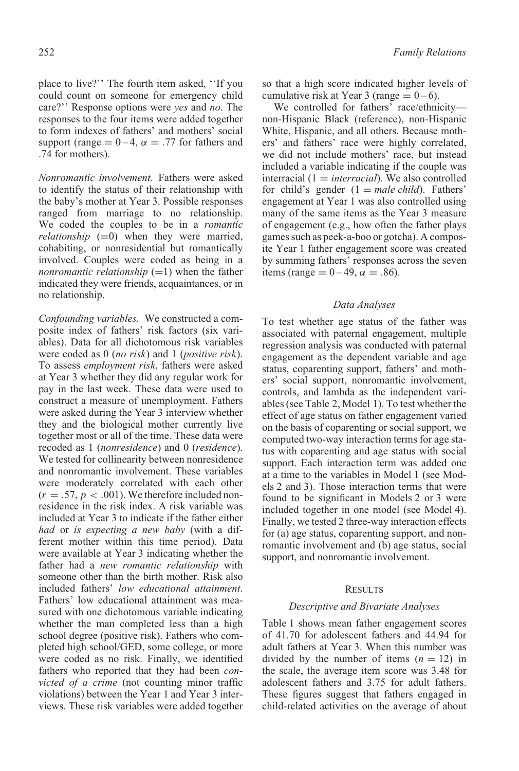place to live?'' The fourth item asked, ''If you could count on someone for emergency child care?'' Response options were *yes* and *no*. The responses to the four items were added together to form indexes of fathers' and mothers' social support (range  $= 0-4$ ,  $\alpha = .77$  for fathers and .74 for mothers).

*Nonromantic involvement.* Fathers were asked to identify the status of their relationship with the baby's mother at Year 3. Possible responses ranged from marriage to no relationship. We coded the couples to be in a *romantic*  $relationship (=0)$  when they were married, cohabiting, or nonresidential but romantically involved. Couples were coded as being in a *nonromantic relationship*  $(=1)$  when the father indicated they were friends, acquaintances, or in no relationship.

*Confounding variables.* We constructed a composite index of fathers' risk factors (six variables). Data for all dichotomous risk variables were coded as 0 (*no risk*) and 1 (*positive risk*). To assess *employment risk*, fathers were asked at Year 3 whether they did any regular work for pay in the last week. These data were used to construct a measure of unemployment. Fathers were asked during the Year 3 interview whether they and the biological mother currently live together most or all of the time. These data were recoded as 1 (*nonresidence*) and 0 (*residence*). We tested for collinearity between nonresidence and nonromantic involvement. These variables were moderately correlated with each other  $(r = .57, p < .001)$ . We therefore included nonresidence in the risk index. A risk variable was included at Year 3 to indicate if the father either *had* or *is expecting a new baby* (with a different mother within this time period). Data were available at Year 3 indicating whether the father had a *new romantic relationship* with someone other than the birth mother. Risk also included fathers' *low educational attainment*. Fathers' low educational attainment was measured with one dichotomous variable indicating whether the man completed less than a high school degree (positive risk). Fathers who completed high school/GED, some college, or more were coded as no risk. Finally, we identified fathers who reported that they had been *convicted of a crime* (not counting minor traffic violations) between the Year 1 and Year 3 interviews. These risk variables were added together

so that a high score indicated higher levels of cumulative risk at Year 3 (range  $= 0-6$ ).

We controlled for fathers' race/ethnicity non-Hispanic Black (reference), non-Hispanic White, Hispanic, and all others. Because mothers' and fathers' race were highly correlated, we did not include mothers' race, but instead included a variable indicating if the couple was interracial (1 = *interracial*). We also controlled for child's gender (1 = *male child*). Fathers' engagement at Year 1 was also controlled using many of the same items as the Year 3 measure of engagement (e.g., how often the father plays games such as peek-a-boo or gotcha). A composite Year 1 father engagement score was created by summing fathers' responses across the seven items (range  $= 0-49$ ,  $\alpha = .86$ ).

# *Data Analyses*

To test whether age status of the father was associated with paternal engagement, multiple regression analysis was conducted with paternal engagement as the dependent variable and age status, coparenting support, fathers' and mothers' social support, nonromantic involvement, controls, and lambda as the independent variables (see Table 2, Model 1). To test whether the effect of age status on father engagement varied on the basis of coparenting or social support, we computed two-way interaction terms for age status with coparenting and age status with social support. Each interaction term was added one at a time to the variables in Model 1 (see Models 2 and 3). Those interaction terms that were found to be significant in Models 2 or 3 were included together in one model (see Model 4). Finally, we tested 2 three-way interaction effects for (a) age status, coparenting support, and nonromantic involvement and (b) age status, social support, and nonromantic involvement.

# RESULTS

## *Descriptive and Bivariate Analyses*

Table 1 shows mean father engagement scores of 41.70 for adolescent fathers and 44.94 for adult fathers at Year 3. When this number was divided by the number of items  $(n = 12)$  in the scale, the average item score was 3.48 for adolescent fathers and 3.75 for adult fathers. These figures suggest that fathers engaged in child-related activities on the average of about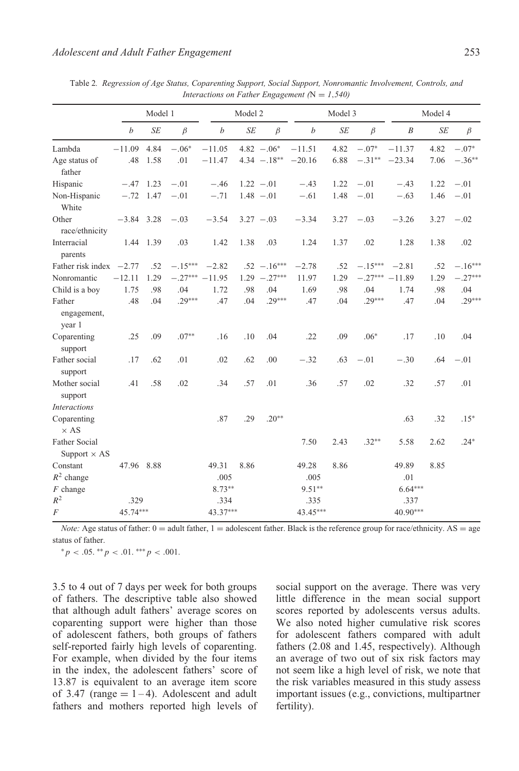|                                                   | Model 1          |           | Model 2          |                  | Model 3 |                  |                  | Model 4   |                  |                  |           |           |
|---------------------------------------------------|------------------|-----------|------------------|------------------|---------|------------------|------------------|-----------|------------------|------------------|-----------|-----------|
|                                                   | $\boldsymbol{b}$ | <b>SE</b> | $\beta$          | $\boldsymbol{b}$ | SE      | $\beta$          | $\boldsymbol{b}$ | <b>SE</b> | $\beta$          | $\boldsymbol{B}$ | $\cal SE$ | $\beta$   |
| Lambda                                            | $-11.09$         | 4.84      | $-.06*$          | $-11.05$         |         | $4.82 - .06*$    | $-11.51$         | 4.82      | $-.07*$          | $-11.37$         | 4.82      | $-.07*$   |
| Age status of<br>father                           | .48              | 1.58      | .01              | $-11.47$         |         | $4.34 - 18**$    | $-20.16$         | 6.88      | $-.31**$         | $-23.34$         | 7.06      | $-.36**$  |
| Hispanic                                          | $-.47$           | 1.23      | $-.01$           | $-.46$           |         | $1.22 - 0.01$    | $-.43$           | 1.22      | $-.01$           | $-.43$           | 1.22      | $-.01$    |
| Non-Hispanic<br>White                             | $-.72$ 1.47      |           | $-.01$           | $-.71$           |         | $1.48 - 01$      | $-.61$           | 1.48      | $-.01$           | $-.63$           | 1.46      | $-.01$    |
| Other<br>race/ethnicity                           | $-3.84$ 3.28     |           | $-.03$           | $-3.54$          |         | $3.27 - 0.03$    | $-3.34$          | 3.27      | $-.03$           | $-3.26$          | 3.27      | $-.02$    |
| Interracial<br>parents                            |                  | 1.44 1.39 | .03              | 1.42             | 1.38    | .03              | 1.24             | 1.37      | .02              | 1.28             | 1.38      | .02       |
| Father risk index $-2.77$                         |                  | .52       | $-.15***$        | $-2.82$          |         | $.52 - .16***$   | $-2.78$          | .52       | $-.15***$        | $-2.81$          | .52       | $-.16***$ |
| Nonromantic                                       | $-12.11$         | 1.29      | $-.27*** -11.95$ |                  |         | $1.29 - 0.27***$ | 11.97            | 1.29      | $-.27*** -11.89$ |                  | 1.29      | $-.27***$ |
| Child is a boy                                    | 1.75             | .98       | .04              | 1.72             | .98     | .04              | 1.69             | .98       | .04              | 1.74             | .98       | .04       |
| Father<br>engagement,<br>year 1                   | .48              | .04       | $.29***$         | .47              | .04     | $.29***$         | .47              | .04       | $.29***$         | .47              | .04       | $.29***$  |
| Coparenting<br>support                            | .25              | .09       | $.07**$          | .16              | .10     | .04              | .22              | .09       | $.06*$           | .17              | .10       | .04       |
| Father social<br>support                          | .17              | .62       | .01              | .02              | .62     | .00              | $-.32$           | .63       | $-.01$           | $-.30$           | .64       | $-.01$    |
| Mother social<br>support                          | .41              | .58       | .02              | .34              | .57     | .01              | .36              | .57       | .02              | .32              | .57       | .01       |
| <b>Interactions</b><br>Coparenting<br>$\times AS$ |                  |           |                  | .87              | .29     | $.20**$          |                  |           |                  | .63              | .32       | $.15*$    |
| <b>Father Social</b><br>Support $\times$ AS       |                  |           |                  |                  |         |                  | 7.50             | 2.43      | $.32**$          | 5.58             | 2.62      | $.24*$    |
| Constant                                          | 47.96 8.88       |           |                  | 49.31            | 8.86    |                  | 49.28            | 8.86      |                  | 49.89            | 8.85      |           |
| $R^2$ change                                      |                  |           |                  | .005             |         |                  | .005             |           |                  | .01              |           |           |
| $F$ change                                        |                  |           |                  | $8.73***$        |         |                  | $9.51**$         |           |                  | $6.64***$        |           |           |
| $R^2$                                             | .329             |           |                  | .334             |         |                  | .335             |           |                  | .337             |           |           |
| $\boldsymbol{F}$                                  | 45.74***         |           |                  | 43.37***         |         |                  | 43.45***         |           |                  | $40.90***$       |           |           |

Table 2*. Regression of Age Status, Coparenting Support, Social Support, Nonromantic Involvement, Controls, and Interactions on Father Engagement* ( $N = 1,540$ )

*Note:* Age status of father:  $0 =$  adult father,  $1 =$  adolescent father. Black is the reference group for race/ethnicity. AS = age status of father.

 $* p < .05. ** p < .01. ** p < .001.$ 

3.5 to 4 out of 7 days per week for both groups of fathers. The descriptive table also showed that although adult fathers' average scores on coparenting support were higher than those of adolescent fathers, both groups of fathers self-reported fairly high levels of coparenting. For example, when divided by the four items in the index, the adolescent fathers' score of 13.87 is equivalent to an average item score of 3.47 (range  $= 1-4$ ). Adolescent and adult fathers and mothers reported high levels of social support on the average. There was very little difference in the mean social support scores reported by adolescents versus adults. We also noted higher cumulative risk scores for adolescent fathers compared with adult fathers (2.08 and 1.45, respectively). Although an average of two out of six risk factors may not seem like a high level of risk, we note that the risk variables measured in this study assess important issues (e.g., convictions, multipartner fertility).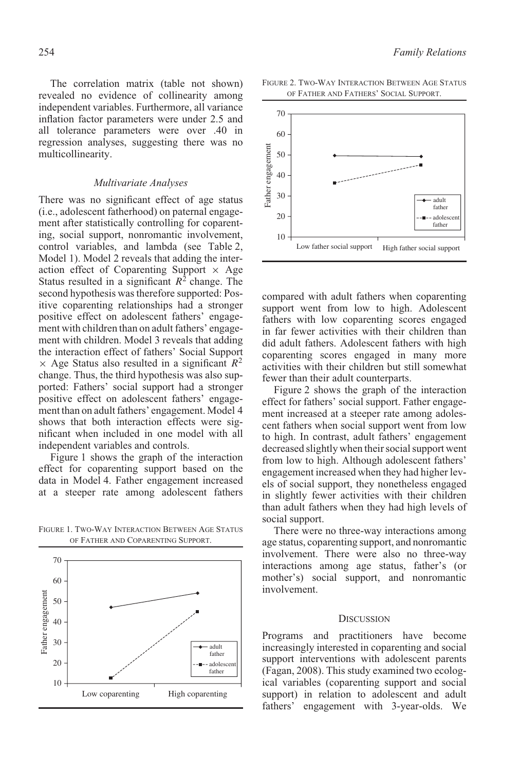The correlation matrix (table not shown) revealed no evidence of collinearity among independent variables. Furthermore, all variance inflation factor parameters were under 2.5 and all tolerance parameters were over .40 in regression analyses, suggesting there was no multicollinearity.

#### *Multivariate Analyses*

There was no significant effect of age status (i.e., adolescent fatherhood) on paternal engagement after statistically controlling for coparenting, social support, nonromantic involvement, control variables, and lambda (see Table 2, Model 1). Model 2 reveals that adding the interaction effect of Coparenting Support  $\times$  Age Status resulted in a significant  $R^2$  change. The second hypothesis was therefore supported: Positive coparenting relationships had a stronger positive effect on adolescent fathers' engagement with children than on adult fathers' engagement with children. Model 3 reveals that adding the interaction effect of fathers' Social Support  $\times$  Age Status also resulted in a significant  $R^2$ change. Thus, the third hypothesis was also supported: Fathers' social support had a stronger positive effect on adolescent fathers' engagement than on adult fathers' engagement. Model 4 shows that both interaction effects were significant when included in one model with all independent variables and controls.

Figure 1 shows the graph of the interaction effect for coparenting support based on the data in Model 4. Father engagement increased at a steeper rate among adolescent fathers

FIGURE 1. TWO-WAY INTERACTION BETWEEN AGE STATUS OF FATHER AND COPARENTING SUPPORT.





OF FATHER AND FATHERS' SOCIAL SUPPORT.



compared with adult fathers when coparenting support went from low to high. Adolescent fathers with low coparenting scores engaged in far fewer activities with their children than did adult fathers. Adolescent fathers with high coparenting scores engaged in many more activities with their children but still somewhat fewer than their adult counterparts.

Figure 2 shows the graph of the interaction effect for fathers' social support. Father engagement increased at a steeper rate among adolescent fathers when social support went from low to high. In contrast, adult fathers' engagement decreased slightly when their social support went from low to high. Although adolescent fathers' engagement increased when they had higher levels of social support, they nonetheless engaged in slightly fewer activities with their children than adult fathers when they had high levels of social support.

There were no three-way interactions among age status, coparenting support, and nonromantic involvement. There were also no three-way interactions among age status, father's (or mother's) social support, and nonromantic involvement.

#### **DISCUSSION**

Programs and practitioners have become increasingly interested in coparenting and social support interventions with adolescent parents (Fagan, 2008). This study examined two ecological variables (coparenting support and social support) in relation to adolescent and adult fathers' engagement with 3-year-olds. We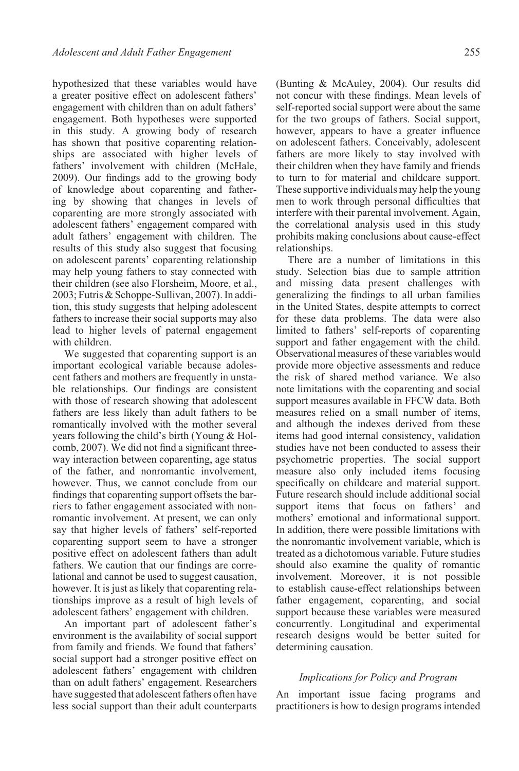hypothesized that these variables would have a greater positive effect on adolescent fathers' engagement with children than on adult fathers' engagement. Both hypotheses were supported in this study. A growing body of research has shown that positive coparenting relationships are associated with higher levels of fathers' involvement with children (McHale, 2009). Our findings add to the growing body of knowledge about coparenting and fathering by showing that changes in levels of coparenting are more strongly associated with adolescent fathers' engagement compared with adult fathers' engagement with children. The results of this study also suggest that focusing on adolescent parents' coparenting relationship may help young fathers to stay connected with their children (see also Florsheim, Moore, et al., 2003; Futris & Schoppe-Sullivan, 2007). In addition, this study suggests that helping adolescent fathers to increase their social supports may also lead to higher levels of paternal engagement with children.

We suggested that coparenting support is an important ecological variable because adolescent fathers and mothers are frequently in unstable relationships. Our findings are consistent with those of research showing that adolescent fathers are less likely than adult fathers to be romantically involved with the mother several years following the child's birth (Young & Holcomb, 2007). We did not find a significant threeway interaction between coparenting, age status of the father, and nonromantic involvement, however. Thus, we cannot conclude from our findings that coparenting support offsets the barriers to father engagement associated with nonromantic involvement. At present, we can only say that higher levels of fathers' self-reported coparenting support seem to have a stronger positive effect on adolescent fathers than adult fathers. We caution that our findings are correlational and cannot be used to suggest causation, however. It is just as likely that coparenting relationships improve as a result of high levels of adolescent fathers' engagement with children.

An important part of adolescent father's environment is the availability of social support from family and friends. We found that fathers' social support had a stronger positive effect on adolescent fathers' engagement with children than on adult fathers' engagement. Researchers have suggested that adolescent fathers often have less social support than their adult counterparts

(Bunting & McAuley, 2004). Our results did not concur with these findings. Mean levels of self-reported social support were about the same for the two groups of fathers. Social support, however, appears to have a greater influence on adolescent fathers. Conceivably, adolescent fathers are more likely to stay involved with their children when they have family and friends to turn to for material and childcare support. These supportive individuals may help the young men to work through personal difficulties that interfere with their parental involvement. Again, the correlational analysis used in this study prohibits making conclusions about cause-effect relationships.

There are a number of limitations in this study. Selection bias due to sample attrition and missing data present challenges with generalizing the findings to all urban families in the United States, despite attempts to correct for these data problems. The data were also limited to fathers' self-reports of coparenting support and father engagement with the child. Observational measures of these variables would provide more objective assessments and reduce the risk of shared method variance. We also note limitations with the coparenting and social support measures available in FFCW data. Both measures relied on a small number of items, and although the indexes derived from these items had good internal consistency, validation studies have not been conducted to assess their psychometric properties. The social support measure also only included items focusing specifically on childcare and material support. Future research should include additional social support items that focus on fathers' and mothers' emotional and informational support. In addition, there were possible limitations with the nonromantic involvement variable, which is treated as a dichotomous variable. Future studies should also examine the quality of romantic involvement. Moreover, it is not possible to establish cause-effect relationships between father engagement, coparenting, and social support because these variables were measured concurrently. Longitudinal and experimental research designs would be better suited for determining causation.

# *Implications for Policy and Program*

An important issue facing programs and practitioners is how to design programs intended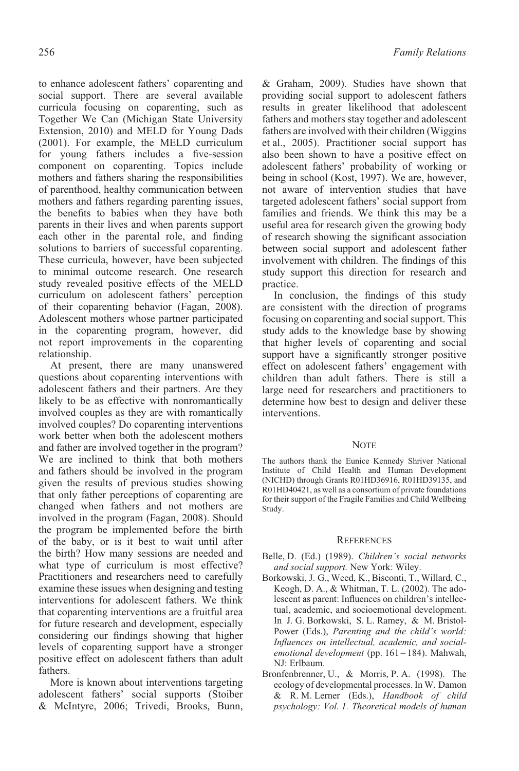to enhance adolescent fathers' coparenting and social support. There are several available curricula focusing on coparenting, such as Together We Can (Michigan State University Extension, 2010) and MELD for Young Dads (2001). For example, the MELD curriculum for young fathers includes a five-session component on coparenting. Topics include mothers and fathers sharing the responsibilities of parenthood, healthy communication between mothers and fathers regarding parenting issues, the benefits to babies when they have both parents in their lives and when parents support each other in the parental role, and finding solutions to barriers of successful coparenting. These curricula, however, have been subjected to minimal outcome research. One research study revealed positive effects of the MELD curriculum on adolescent fathers' perception of their coparenting behavior (Fagan, 2008). Adolescent mothers whose partner participated in the coparenting program, however, did not report improvements in the coparenting relationship.

At present, there are many unanswered questions about coparenting interventions with adolescent fathers and their partners. Are they likely to be as effective with nonromantically involved couples as they are with romantically involved couples? Do coparenting interventions work better when both the adolescent mothers and father are involved together in the program? We are inclined to think that both mothers and fathers should be involved in the program given the results of previous studies showing that only father perceptions of coparenting are changed when fathers and not mothers are involved in the program (Fagan, 2008). Should the program be implemented before the birth of the baby, or is it best to wait until after the birth? How many sessions are needed and what type of curriculum is most effective? Practitioners and researchers need to carefully examine these issues when designing and testing interventions for adolescent fathers. We think that coparenting interventions are a fruitful area for future research and development, especially considering our findings showing that higher levels of coparenting support have a stronger positive effect on adolescent fathers than adult fathers.

More is known about interventions targeting adolescent fathers' social supports (Stoiber & McIntyre, 2006; Trivedi, Brooks, Bunn,

& Graham, 2009). Studies have shown that providing social support to adolescent fathers results in greater likelihood that adolescent fathers and mothers stay together and adolescent fathers are involved with their children (Wiggins et al., 2005). Practitioner social support has also been shown to have a positive effect on adolescent fathers' probability of working or being in school (Kost, 1997). We are, however, not aware of intervention studies that have targeted adolescent fathers' social support from families and friends. We think this may be a useful area for research given the growing body of research showing the significant association between social support and adolescent father involvement with children. The findings of this study support this direction for research and practice.

In conclusion, the findings of this study are consistent with the direction of programs focusing on coparenting and social support. This study adds to the knowledge base by showing that higher levels of coparenting and social support have a significantly stronger positive effect on adolescent fathers' engagement with children than adult fathers. There is still a large need for researchers and practitioners to determine how best to design and deliver these interventions.

## **NOTE**

The authors thank the Eunice Kennedy Shriver National Institute of Child Health and Human Development (NICHD) through Grants R01HD36916, R01HD39135, and R01HD40421, as well as a consortium of private foundations for their support of the Fragile Families and Child Wellbeing Study.

#### **REFERENCES**

- Belle, D. (Ed.) (1989). *Children's social networks and social support.* New York: Wiley.
- Borkowski, J. G., Weed, K., Bisconti, T., Willard, C., Keogh, D. A., & Whitman, T. L. (2002). The adolescent as parent: Influences on children's intellectual, academic, and socioemotional development. In J. G. Borkowski, S. L. Ramey, & M. Bristol-Power (Eds.), *Parenting and the child's world: Influences on intellectual, academic, and socialemotional development* (pp. 161 – 184). Mahwah, NJ: Erlbaum.
- Bronfenbrenner, U., & Morris, P. A. (1998). The ecology of developmental processes. In W. Damon & R. M. Lerner (Eds.), *Handbook of child psychology: Vol. 1. Theoretical models of human*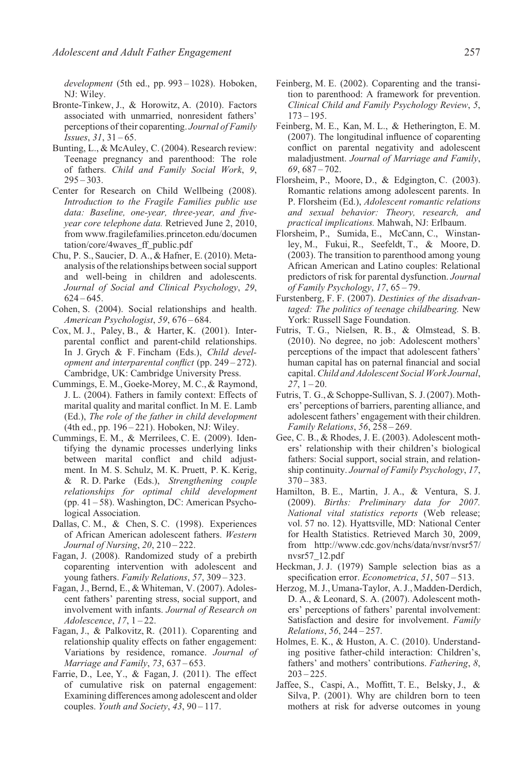*development* (5th ed., pp. 993 – 1028). Hoboken, NJ: Wiley.

- Bronte-Tinkew, J., & Horowitz, A. (2010). Factors associated with unmarried, nonresident fathers' perceptions of their coparenting. *Journal of Family Issues*, *31*, 31 – 65.
- Bunting, L., & McAuley, C. (2004). Research review: Teenage pregnancy and parenthood: The role of fathers. *Child and Family Social Work*, *9*,  $295 - 303$ .
- Center for Research on Child Wellbeing (2008). *Introduction to the Fragile Families public use data: Baseline, one-year, three-year, and fiveyear core telephone data.* Retrieved June 2, 2010, from www.fragilefamilies.princeton.edu/documen tation/core/4waves\_ff\_public.pdf
- Chu, P. S., Saucier, D. A., & Hafner, E. (2010). Metaanalysis of the relationships between social support and well-being in children and adolescents. *Journal of Social and Clinical Psychology*, *29*,  $624 - 645.$
- Cohen, S. (2004). Social relationships and health. *American Psychologist*, *59*, 676 – 684.
- Cox, M. J., Paley, B., & Harter, K. (2001). Interparental conflict and parent-child relationships. In J. Grych & F. Fincham (Eds.), *Child development and interparental conflict* (pp. 249 – 272). Cambridge, UK: Cambridge University Press.
- Cummings, E. M., Goeke-Morey, M. C., & Raymond, J. L. (2004). Fathers in family context: Effects of marital quality and marital conflict. In M. E. Lamb (Ed.), *The role of the father in child development* (4th ed., pp. 196 – 221). Hoboken, NJ: Wiley.
- Cummings, E. M., & Merrilees, C. E. (2009). Identifying the dynamic processes underlying links between marital conflict and child adjustment. In M. S. Schulz, M. K. Pruett, P. K. Kerig, & R. D. Parke (Eds.), *Strengthening couple relationships for optimal child development* (pp. 41 – 58). Washington, DC: American Psychological Association.
- Dallas, C. M., & Chen, S. C. (1998). Experiences of African American adolescent fathers. *Western Journal of Nursing*, *20*, 210 – 222.
- Fagan, J. (2008). Randomized study of a prebirth coparenting intervention with adolescent and young fathers. *Family Relations*, *57*, 309 – 323.
- Fagan, J., Bernd, E., & Whiteman, V. (2007). Adolescent fathers' parenting stress, social support, and involvement with infants. *Journal of Research on Adolescence*, *17*, 1 – 22.
- Fagan, J., & Palkovitz, R. (2011). Coparenting and relationship quality effects on father engagement: Variations by residence, romance. *Journal of Marriage and Family*, *73*, 637 – 653.
- Farrie, D., Lee, Y., & Fagan, J. (2011). The effect of cumulative risk on paternal engagement: Examining differences among adolescent and older couples. *Youth and Society*, *43*, 90 – 117.
- Feinberg, M. E. (2002). Coparenting and the transition to parenthood: A framework for prevention. *Clinical Child and Family Psychology Review*, *5*,  $173 - 195$ .
- Feinberg, M. E., Kan, M. L., & Hetherington, E. M. (2007). The longitudinal influence of coparenting conflict on parental negativity and adolescent maladjustment. *Journal of Marriage and Family*, *69*, 687 – 702.
- Florsheim, P., Moore, D., & Edgington, C. (2003). Romantic relations among adolescent parents. In P. Florsheim (Ed.), *Adolescent romantic relations and sexual behavior: Theory, research, and practical implications.* Mahwah, NJ: Erlbaum.
- Florsheim, P., Sumida, E., McCann, C., Winstanley, M., Fukui, R., Seefeldt, T., & Moore, D. (2003). The transition to parenthood among young African American and Latino couples: Relational predictors of risk for parental dysfunction. *Journal of Family Psychology*, *17*, 65 – 79.
- Furstenberg, F. F. (2007). *Destinies of the disadvantaged: The politics of teenage childbearing.* New York: Russell Sage Foundation.
- Futris, T. G., Nielsen, R. B., & Olmstead, S. B. (2010). No degree, no job: Adolescent mothers' perceptions of the impact that adolescent fathers' human capital has on paternal financial and social capital.*Child and Adolescent Social Work Journal*, *27*, 1 – 20.
- Futris, T. G., & Schoppe-Sullivan, S. J. (2007). Mothers' perceptions of barriers, parenting alliance, and adolescent fathers' engagement with their children. *Family Relations*, *56*, 258 – 269.
- Gee, C. B., & Rhodes, J. E. (2003). Adolescent mothers' relationship with their children's biological fathers: Social support, social strain, and relationship continuity. *Journal of Family Psychology*, *17*,  $370 - 383.$
- Hamilton, B. E., Martin, J. A., & Ventura, S. J. (2009). *Births: Preliminary data for 2007. National vital statistics reports* (Web release; vol. 57 no. 12). Hyattsville, MD: National Center for Health Statistics. Retrieved March 30, 2009, from http://www.cdc.gov/nchs/data/nvsr/nvsr57/ nvsr57\_12.pdf
- Heckman, J. J. (1979) Sample selection bias as a specification error. *Econometrica*, *51*, 507 – 513.
- Herzog, M. J., Umana-Taylor, A. J., Madden-Derdich, D. A., & Leonard, S. A. (2007). Adolescent mothers' perceptions of fathers' parental involvement: Satisfaction and desire for involvement. *Family Relations*, *56*, 244 – 257.
- Holmes, E. K., & Huston, A. C. (2010). Understanding positive father-child interaction: Children's, fathers' and mothers' contributions. *Fathering*, *8*,  $203 - 225$ .
- Jaffee, S., Caspi, A., Moffitt, T. E., Belsky, J., & Silva, P. (2001). Why are children born to teen mothers at risk for adverse outcomes in young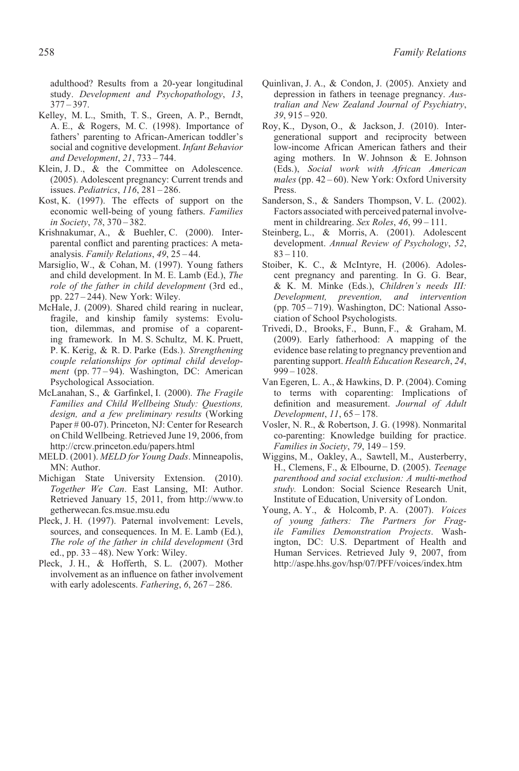adulthood? Results from a 20-year longitudinal study. *Development and Psychopathology*, *13*,  $377 - 397.$ 

- Kelley, M. L., Smith, T. S., Green, A. P., Berndt, A. E., & Rogers, M. C. (1998). Importance of fathers' parenting to African-American toddler's social and cognitive development. *Infant Behavior and Development*, *21*, 733 – 744.
- Klein, J. D., & the Committee on Adolescence. (2005). Adolescent pregnancy: Current trends and issues. *Pediatrics*, *116*, 281 – 286.
- Kost, K. (1997). The effects of support on the economic well-being of young fathers. *Families in Society*, *78*, 370 – 382.
- Krishnakumar, A., & Buehler, C. (2000). Interparental conflict and parenting practices: A metaanalysis. *Family Relations*, *49*, 25 – 44.
- Marsiglio, W., & Cohan, M. (1997). Young fathers and child development. In M. E. Lamb (Ed.), *The role of the father in child development* (3rd ed., pp. 227 – 244). New York: Wiley.
- McHale, J. (2009). Shared child rearing in nuclear, fragile, and kinship family systems: Evolution, dilemmas, and promise of a coparenting framework. In M. S. Schultz, M. K. Pruett, P. K. Kerig, & R. D. Parke (Eds.). *Strengthening couple relationships for optimal child development* (pp. 77 – 94). Washington, DC: American Psychological Association.
- McLanahan, S., & Garfinkel, I. (2000). *The Fragile Families and Child Wellbeing Study: Questions, design, and a few preliminary results* (Working Paper # 00-07). Princeton, NJ: Center for Research on Child Wellbeing. Retrieved June 19, 2006, from http://crcw.princeton.edu/papers.html
- MELD. (2001). *MELD for Young Dads*. Minneapolis, MN: Author.
- Michigan State University Extension. (2010). *Together We Can*. East Lansing, MI: Author. Retrieved January 15, 2011, from http://www.to getherwecan.fcs.msue.msu.edu
- Pleck, J. H. (1997). Paternal involvement: Levels, sources, and consequences. In M. E. Lamb (Ed.), *The role of the father in child development* (3rd ed., pp. 33 – 48). New York: Wiley.
- Pleck, J. H., & Hofferth, S. L. (2007). Mother involvement as an influence on father involvement with early adolescents. *Fathering*, *6*, 267 – 286.
- Quinlivan, J. A., & Condon, J. (2005). Anxiety and depression in fathers in teenage pregnancy. *Australian and New Zealand Journal of Psychiatry*, *39*, 915 – 920.
- Roy, K., Dyson, O., & Jackson, J. (2010). Intergenerational support and reciprocity between low-income African American fathers and their aging mothers. In W. Johnson & E. Johnson (Eds.), *Social work with African American* males (pp. 42–60). New York: Oxford University Press.
- Sanderson, S., & Sanders Thompson, V. L. (2002). Factors associated with perceived paternal involvement in childrearing. *Sex Roles*, *46*, 99 – 111.
- Steinberg, L., & Morris, A. (2001). Adolescent development. *Annual Review of Psychology*, *52*,  $83 - 110$ .
- Stoiber, K. C., & McIntyre, H. (2006). Adolescent pregnancy and parenting. In G. G. Bear, & K. M. Minke (Eds.), *Children's needs III: Development, prevention, and intervention* (pp. 705 – 719). Washington, DC: National Association of School Psychologists.
- Trivedi, D., Brooks, F., Bunn, F., & Graham, M. (2009). Early fatherhood: A mapping of the evidence base relating to pregnancy prevention and parenting support. *Health Education Research*, *24*, 999 – 1028.
- Van Egeren, L. A., & Hawkins, D. P. (2004). Coming to terms with coparenting: Implications of definition and measurement. *Journal of Adult Development*, *11*, 65 – 178.
- Vosler, N. R., & Robertson, J. G. (1998). Nonmarital co-parenting: Knowledge building for practice. *Families in Society*, *79*, 149 – 159.
- Wiggins, M., Oakley, A., Sawtell, M., Austerberry, H., Clemens, F., & Elbourne, D. (2005). *Teenage parenthood and social exclusion: A multi-method study.* London: Social Science Research Unit, Institute of Education, University of London.
- Young, A. Y., & Holcomb, P. A. (2007). *Voices of young fathers: The Partners for Fragile Families Demonstration Projects*. Washington, DC: U.S. Department of Health and Human Services. Retrieved July 9, 2007, from http://aspe.hhs.gov/hsp/07/PFF/voices/index.htm